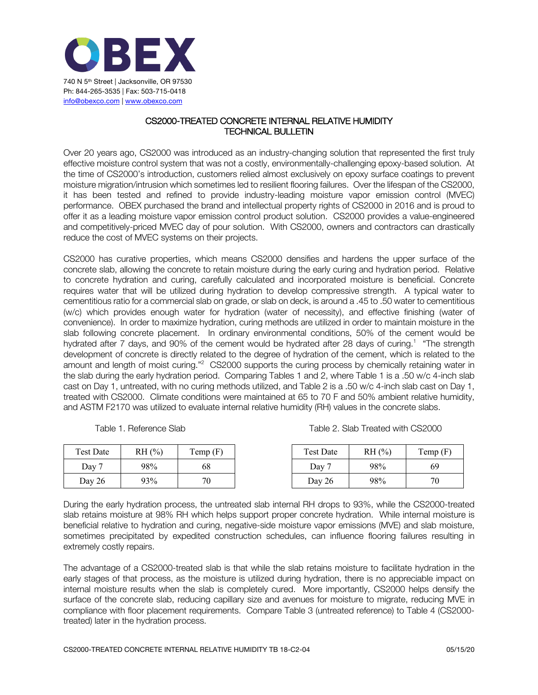

## CS2000-TREATED CONCRETE INTERNAL RELATIVE HUMIDITY TECHNICAL BULLETIN

Over 20 years ago, CS2000 was introduced as an industry-changing solution that represented the first truly effective moisture control system that was not a costly, environmentally-challenging epoxy-based solution. At the time of CS2000's introduction, customers relied almost exclusively on epoxy surface coatings to prevent moisture migration/intrusion which sometimes led to resilient flooring failures. Over the lifespan of the CS2000, it has been tested and refined to provide industry-leading moisture vapor emission control (MVEC) performance. OBEX purchased the brand and intellectual property rights of CS2000 in 2016 and is proud to offer it as a leading moisture vapor emission control product solution. CS2000 provides a value-engineered and competitively-priced MVEC day of pour solution. With CS2000, owners and contractors can drastically reduce the cost of MVEC systems on their projects.

CS2000 has curative properties, which means CS2000 densifies and hardens the upper surface of the concrete slab, allowing the concrete to retain moisture during the early curing and hydration period. Relative to concrete hydration and curing, carefully calculated and incorporated moisture is beneficial. Concrete requires water that will be utilized during hydration to develop compressive strength. A typical water to cementitious ratio for a commercial slab on grade, or slab on deck, is around a .45 to .50 water to cementitious (w/c) which provides enough water for hydration (water of necessity), and effective finishing (water of convenience). In order to maximize hydration, curing methods are utilized in order to maintain moisture in the slab following concrete placement. In ordinary environmental conditions, 50% of the cement would be hydrated after 7 days, and 90% of the cement would be hydrated after 28 days of curing.<sup>1</sup> "The strength development of concrete is directly related to the degree of hydration of the cement, which is related to the amount and length of moist curing."<sup>2</sup> CS2000 supports the curing process by chemically retaining water in the slab during the early hydration period. Comparing Tables 1 and 2, where Table 1 is a .50 w/c 4-inch slab cast on Day 1, untreated, with no curing methods utilized, and Table 2 is a .50 w/c 4-inch slab cast on Day 1, treated with CS2000. Climate conditions were maintained at 65 to 70 F and 50% ambient relative humidity, and ASTM F2170 was utilized to evaluate internal relative humidity (RH) values in the concrete slabs.

Table 1. Reference Slab Table 2. Slab Treated with CS2000

| <b>Test Date</b> | RH (%) | Temp(F) | Test Date | RH(%) | Temp(F) |
|------------------|--------|---------|-----------|-------|---------|
| Day 7            | 98%    | 68      | Dav       | 98%   | 69      |
| Day $26$         | 93%    | 70      | Day $26$  | 98%   | 70      |

During the early hydration process, the untreated slab internal RH drops to 93%, while the CS2000-treated slab retains moisture at 98% RH which helps support proper concrete hydration. While internal moisture is beneficial relative to hydration and curing, negative-side moisture vapor emissions (MVE) and slab moisture, sometimes precipitated by expedited construction schedules, can influence flooring failures resulting in extremely costly repairs.

The advantage of a CS2000-treated slab is that while the slab retains moisture to facilitate hydration in the early stages of that process, as the moisture is utilized during hydration, there is no appreciable impact on internal moisture results when the slab is completely cured. More importantly, CS2000 helps densify the surface of the concrete slab, reducing capillary size and avenues for moisture to migrate, reducing MVE in compliance with floor placement requirements. Compare Table 3 (untreated reference) to Table 4 (CS2000 treated) later in the hydration process.